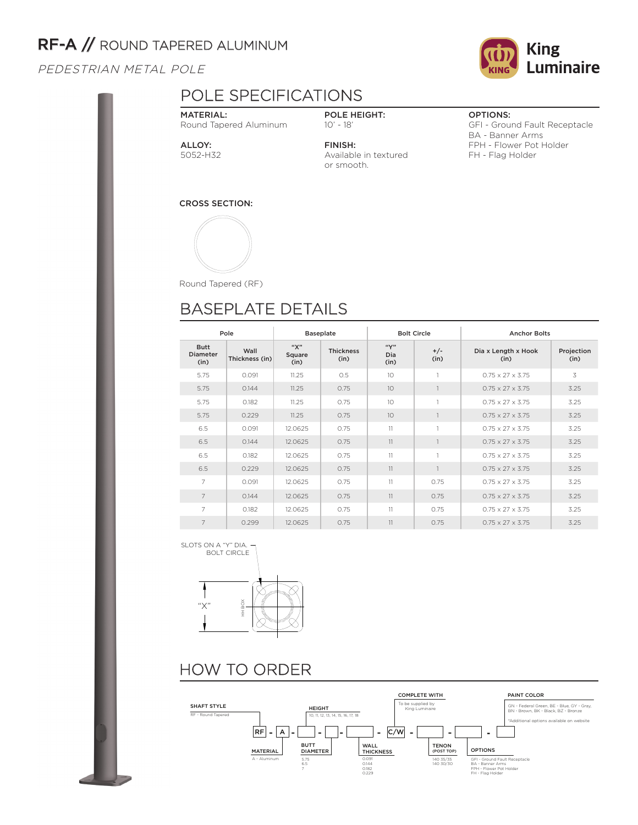## RF-A // ROUND TAPERED ALUMINUM

PEDESTRIAN METAL POLE

## POLE SPECIFICATIONS

MATERIAL: Round Tapered Aluminum

POLE HEIGHT: 10' - 18'

Available in textured

FINISH:

or smooth.

OPTIONS:

GFI - Ground Fault Receptacle BA - Banner Arms FPH - Flower Pot Holder FH - Flag Holder

ALLOY: 5052-H32

CROSS SECTION:



Round Tapered (RF)

# BASEPLATE DETAILS

| Pole                            |                        | <b>Baseplate</b>      |                          | <b>Bolt Circle</b>  |               | <b>Anchor Bolts</b>          |                    |  |  |
|---------------------------------|------------------------|-----------------------|--------------------------|---------------------|---------------|------------------------------|--------------------|--|--|
| <b>Butt</b><br>Diameter<br>(in) | Wall<br>Thickness (in) | "Х"<br>Square<br>(in) | <b>Thickness</b><br>(in) | ``Y"<br>Dia<br>(in) | $+/-$<br>(in) | Dia x Length x Hook<br>(in)  | Projection<br>(in) |  |  |
| 5.75                            | 0.091                  | 11.25                 | 0.5                      | 10                  |               | $0.75 \times 27 \times 3.75$ | 3                  |  |  |
| 5.75                            | 0.144                  | 11.25                 | 0.75                     | 10 <sup>2</sup>     |               | $0.75 \times 27 \times 3.75$ | 3.25               |  |  |
| 5.75                            | 0.182                  | 11.25                 | 0.75                     | 10                  |               | $0.75 \times 27 \times 3.75$ | 3.25               |  |  |
| 5.75                            | 0.229                  | 11.25                 | 0.75                     | 10                  |               | $0.75 \times 27 \times 3.75$ | 3.25               |  |  |
| 6.5                             | 0.091                  | 12.0625               | 0.75                     | 11                  |               | $0.75 \times 27 \times 3.75$ | 3.25               |  |  |
| 6.5                             | 0.144                  | 12.0625               | 0.75                     | 11                  |               | $0.75 \times 27 \times 3.75$ | 3.25               |  |  |
| 6.5                             | 0.182                  | 12.0625               | 0.75                     | 11                  |               | $0.75 \times 27 \times 3.75$ | 3.25               |  |  |
| 6.5                             | 0.229                  | 12.0625               | 0.75                     | 11                  |               | $0.75 \times 27 \times 3.75$ | 3.25               |  |  |
| 7                               | 0.091                  | 12.0625               | 0.75                     | 11                  | 0.75          | $0.75 \times 27 \times 3.75$ | 3.25               |  |  |
| $\overline{7}$                  | 0.144                  | 12.0625               | 0.75                     | 11                  | 0.75          | $0.75 \times 27 \times 3.75$ | 3.25               |  |  |
| $\overline{7}$                  | 0.182                  | 12.0625               | 0.75                     | 11                  | 0.75          | $0.75 \times 27 \times 3.75$ | 3.25               |  |  |
| $\overline{7}$                  | 0.299                  | 12.0625               | 0.75                     | 11                  | 0.75          | $0.75 \times 27 \times 3.75$ | 3.25               |  |  |

SLOTS ON A "Y" DIA. BOLT CIRCLE



# HOW TO ORDER



**King** Luminaire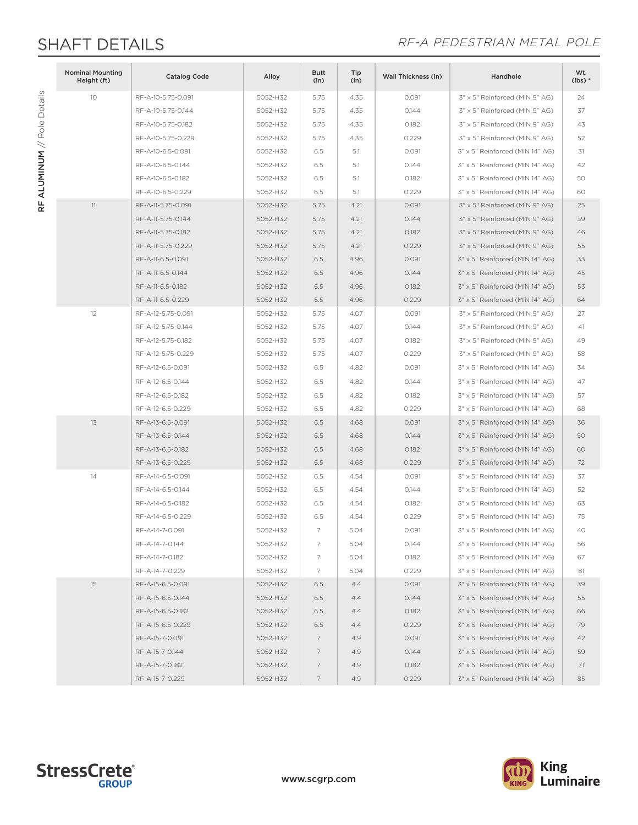RF ALUMINUM // Pole Details

RF ALUMINUM // Pole Details

## SHAFT DETAILS **SHAFT DETAILS**

| 10<br>RF-A-10-5.75-0.091<br>5052-H32<br>5.75<br>4.35<br>0.091<br>3" x 5" Reinforced (MIN 9" AG)<br>24<br>5052-H32<br>5.75<br>0.144<br>3" x 5" Reinforced (MIN 9" AG)<br>37<br>RF-A-10-5.75-0.144<br>4.35<br>0.182<br>3" x 5" Reinforced (MIN 9" AG)<br>RF-A-10-5.75-0.182<br>5052-H32<br>5.75<br>4.35<br>43<br>RF-A-10-5.75-0.229<br>0.229<br>3" x 5" Reinforced (MIN 9" AG)<br>5052-H32<br>5.75<br>4.35<br>52<br>3" x 5" Reinforced (MIN 14" AG)<br>RF-A-10-6.5-0.091<br>5052-H32<br>6.5<br>5.1<br>0.091<br>31<br>3" x 5" Reinforced (MIN 14" AG)<br>RF-A-10-6.5-0.144<br>5052-H32<br>6.5<br>5.1<br>0.144<br>42<br>RF-A-10-6.5-0.182<br>0.182<br>3" x 5" Reinforced (MIN 14" AG)<br>5052-H32<br>6.5<br>5.1<br>50<br>RF-A-10-6.5-0.229<br>5052-H32<br>6.5<br>0.229<br>3" x 5" Reinforced (MIN 14" AG)<br>5.1<br>60<br>11<br>RF-A-11-5.75-0.091<br>0.091<br>3" x 5" Reinforced (MIN 9" AG)<br>5052-H32<br>5.75<br>4.21<br>25<br>RF-A-11-5.75-0.144<br>0.144<br>3" x 5" Reinforced (MIN 9" AG)<br>39<br>5052-H32<br>5.75<br>4.21<br>46<br>RF-A-11-5.75-0.182<br>5052-H32<br>5.75<br>4.21<br>0.182<br>3" x 5" Reinforced (MIN 9" AG)<br>3" x 5" Reinforced (MIN 9" AG)<br>55<br>RF-A-11-5.75-0.229<br>5052-H32<br>5.75<br>4.21<br>0.229<br>3" x 5" Reinforced (MIN 14" AG)<br>RF-A-11-6.5-0.091<br>5052-H32<br>6.5<br>4.96<br>0.091<br>33<br>RF-A-11-6.5-0.144<br>6.5<br>0.144<br>3" x 5" Reinforced (MIN 14" AG)<br>45<br>5052-H32<br>4.96<br>RF-A-11-6.5-0.182<br>5052-H32<br>0.182<br>3" x 5" Reinforced (MIN 14" AG)<br>53<br>6.5<br>4.96<br>RF-A-11-6.5-0.229<br>5052-H32<br>6.5<br>4.96<br>0.229<br>3" x 5" Reinforced (MIN 14" AG)<br>64<br>12<br>RF-A-12-5.75-0.091<br>4.07<br>0.091<br>3" x 5" Reinforced (MIN 9" AG)<br>27<br>5052-H32<br>5.75<br>3" x 5" Reinforced (MIN 9" AG)<br>RF-A-12-5.75-0.144<br>5052-H32<br>5.75<br>4.07<br>0.144<br>41<br>RF-A-12-5.75-0.182<br>5052-H32<br>5.75<br>4.07<br>0.182<br>3" x 5" Reinforced (MIN 9" AG)<br>49<br>RF-A-12-5.75-0.229<br>5052-H32<br>5.75<br>0.229<br>3" x 5" Reinforced (MIN 9" AG)<br>4.07<br>58<br>RF-A-12-6.5-0.091<br>6.5<br>0.091<br>3" x 5" Reinforced (MIN 14" AG)<br>5052-H32<br>4.82<br>34<br>RF-A-12-6.5-0.144<br>0.144<br>3" x 5" Reinforced (MIN 14" AG)<br>5052-H32<br>6.5<br>4.82<br>47<br>RF-A-12-6.5-0.182<br>5052-H32<br>6.5<br>4.82<br>0.182<br>3" x 5" Reinforced (MIN 14" AG)<br>57<br>6.5<br>RF-A-12-6.5-0.229<br>5052-H32<br>4.82<br>0.229<br>3" x 5" Reinforced (MIN 14" AG)<br>68<br>13<br>RF-A-13-6.5-0.091<br>5052-H32<br>0.091<br>6.5<br>4.68<br>3" x 5" Reinforced (MIN 14" AG)<br>36<br>RF-A-13-6.5-0.144<br>6.5<br>50<br>5052-H32<br>4.68<br>0.144<br>3" x 5" Reinforced (MIN 14" AG)<br>RF-A-13-6.5-0.182<br>0.182<br>3" x 5" Reinforced (MIN 14" AG)<br>5052-H32<br>6.5<br>4.68<br>60<br>RF-A-13-6.5-0.229<br>0.229<br>3" x 5" Reinforced (MIN 14" AG)<br>5052-H32<br>6.5<br>4.68<br>72<br>14<br>RF-A-14-6.5-0.091<br>3" x 5" Reinforced (MIN 14" AG)<br>37<br>5052-H32<br>6.5<br>4.54<br>0.091<br>RF-A-14-6.5-0.144<br>6.5<br>3" x 5" Reinforced (MIN 14" AG)<br>5052-H32<br>4.54<br>0.144<br>52<br>RF-A-14-6.5-0.182<br>6.5<br>0.182<br>3" x 5" Reinforced (MIN 14" AG)<br>5052-H32<br>4.54<br>63<br>RF-A-14-6.5-0.229<br>5052-H32<br>0.229<br>3" x 5" Reinforced (MIN 14" AG)<br>75<br>6.5<br>4.54<br>RF-A-14-7-0.091<br>5052-H32<br>5.04<br>0.091<br>3" x 5" Reinforced (MIN 14" AG)<br>40<br>7<br>RF-A-14-7-0.144<br>5052-H32<br>7<br>5.04<br>0.144<br>3" x 5" Reinforced (MIN 14" AG)<br>56<br>RF-A-14-7-0.182<br>5052-H32<br>5.04<br>0.182<br>3" x 5" Reinforced (MIN 14" AG)<br>67<br>7<br>3" x 5" Reinforced (MIN 14" AG)<br>RF-A-14-7-0.229<br>5052-H32<br>7<br>5.04<br>0.229<br>81<br>15<br>RF-A-15-6.5-0.091<br>5052-H32<br>6.5<br>0.091<br>3" x 5" Reinforced (MIN 14" AG)<br>39<br>4.4 | <b>Nominal Mounting</b><br>Height (ft) | <b>Catalog Code</b> | Alloy | <b>Butt</b><br>(in) | Tip<br>(in) | <b>Wall Thickness (in)</b> | Handhole | Wt.<br>$(lbs)*$ |
|---------------------------------------------------------------------------------------------------------------------------------------------------------------------------------------------------------------------------------------------------------------------------------------------------------------------------------------------------------------------------------------------------------------------------------------------------------------------------------------------------------------------------------------------------------------------------------------------------------------------------------------------------------------------------------------------------------------------------------------------------------------------------------------------------------------------------------------------------------------------------------------------------------------------------------------------------------------------------------------------------------------------------------------------------------------------------------------------------------------------------------------------------------------------------------------------------------------------------------------------------------------------------------------------------------------------------------------------------------------------------------------------------------------------------------------------------------------------------------------------------------------------------------------------------------------------------------------------------------------------------------------------------------------------------------------------------------------------------------------------------------------------------------------------------------------------------------------------------------------------------------------------------------------------------------------------------------------------------------------------------------------------------------------------------------------------------------------------------------------------------------------------------------------------------------------------------------------------------------------------------------------------------------------------------------------------------------------------------------------------------------------------------------------------------------------------------------------------------------------------------------------------------------------------------------------------------------------------------------------------------------------------------------------------------------------------------------------------------------------------------------------------------------------------------------------------------------------------------------------------------------------------------------------------------------------------------------------------------------------------------------------------------------------------------------------------------------------------------------------------------------------------------------------------------------------------------------------------------------------------------------------------------------------------------------------------------------------------------------------------------------------------------------------------------------------------------------------------------------------------------------------------------------------------------------------------------------------------------------------------------------------------------------------------------------------------------------------------------------------------------------------------------------------------------|----------------------------------------|---------------------|-------|---------------------|-------------|----------------------------|----------|-----------------|
|                                                                                                                                                                                                                                                                                                                                                                                                                                                                                                                                                                                                                                                                                                                                                                                                                                                                                                                                                                                                                                                                                                                                                                                                                                                                                                                                                                                                                                                                                                                                                                                                                                                                                                                                                                                                                                                                                                                                                                                                                                                                                                                                                                                                                                                                                                                                                                                                                                                                                                                                                                                                                                                                                                                                                                                                                                                                                                                                                                                                                                                                                                                                                                                                                                                                                                                                                                                                                                                                                                                                                                                                                                                                                                                                                                                                   |                                        |                     |       |                     |             |                            |          |                 |
|                                                                                                                                                                                                                                                                                                                                                                                                                                                                                                                                                                                                                                                                                                                                                                                                                                                                                                                                                                                                                                                                                                                                                                                                                                                                                                                                                                                                                                                                                                                                                                                                                                                                                                                                                                                                                                                                                                                                                                                                                                                                                                                                                                                                                                                                                                                                                                                                                                                                                                                                                                                                                                                                                                                                                                                                                                                                                                                                                                                                                                                                                                                                                                                                                                                                                                                                                                                                                                                                                                                                                                                                                                                                                                                                                                                                   |                                        |                     |       |                     |             |                            |          |                 |
|                                                                                                                                                                                                                                                                                                                                                                                                                                                                                                                                                                                                                                                                                                                                                                                                                                                                                                                                                                                                                                                                                                                                                                                                                                                                                                                                                                                                                                                                                                                                                                                                                                                                                                                                                                                                                                                                                                                                                                                                                                                                                                                                                                                                                                                                                                                                                                                                                                                                                                                                                                                                                                                                                                                                                                                                                                                                                                                                                                                                                                                                                                                                                                                                                                                                                                                                                                                                                                                                                                                                                                                                                                                                                                                                                                                                   |                                        |                     |       |                     |             |                            |          |                 |
|                                                                                                                                                                                                                                                                                                                                                                                                                                                                                                                                                                                                                                                                                                                                                                                                                                                                                                                                                                                                                                                                                                                                                                                                                                                                                                                                                                                                                                                                                                                                                                                                                                                                                                                                                                                                                                                                                                                                                                                                                                                                                                                                                                                                                                                                                                                                                                                                                                                                                                                                                                                                                                                                                                                                                                                                                                                                                                                                                                                                                                                                                                                                                                                                                                                                                                                                                                                                                                                                                                                                                                                                                                                                                                                                                                                                   |                                        |                     |       |                     |             |                            |          |                 |
|                                                                                                                                                                                                                                                                                                                                                                                                                                                                                                                                                                                                                                                                                                                                                                                                                                                                                                                                                                                                                                                                                                                                                                                                                                                                                                                                                                                                                                                                                                                                                                                                                                                                                                                                                                                                                                                                                                                                                                                                                                                                                                                                                                                                                                                                                                                                                                                                                                                                                                                                                                                                                                                                                                                                                                                                                                                                                                                                                                                                                                                                                                                                                                                                                                                                                                                                                                                                                                                                                                                                                                                                                                                                                                                                                                                                   |                                        |                     |       |                     |             |                            |          |                 |
|                                                                                                                                                                                                                                                                                                                                                                                                                                                                                                                                                                                                                                                                                                                                                                                                                                                                                                                                                                                                                                                                                                                                                                                                                                                                                                                                                                                                                                                                                                                                                                                                                                                                                                                                                                                                                                                                                                                                                                                                                                                                                                                                                                                                                                                                                                                                                                                                                                                                                                                                                                                                                                                                                                                                                                                                                                                                                                                                                                                                                                                                                                                                                                                                                                                                                                                                                                                                                                                                                                                                                                                                                                                                                                                                                                                                   |                                        |                     |       |                     |             |                            |          |                 |
|                                                                                                                                                                                                                                                                                                                                                                                                                                                                                                                                                                                                                                                                                                                                                                                                                                                                                                                                                                                                                                                                                                                                                                                                                                                                                                                                                                                                                                                                                                                                                                                                                                                                                                                                                                                                                                                                                                                                                                                                                                                                                                                                                                                                                                                                                                                                                                                                                                                                                                                                                                                                                                                                                                                                                                                                                                                                                                                                                                                                                                                                                                                                                                                                                                                                                                                                                                                                                                                                                                                                                                                                                                                                                                                                                                                                   |                                        |                     |       |                     |             |                            |          |                 |
|                                                                                                                                                                                                                                                                                                                                                                                                                                                                                                                                                                                                                                                                                                                                                                                                                                                                                                                                                                                                                                                                                                                                                                                                                                                                                                                                                                                                                                                                                                                                                                                                                                                                                                                                                                                                                                                                                                                                                                                                                                                                                                                                                                                                                                                                                                                                                                                                                                                                                                                                                                                                                                                                                                                                                                                                                                                                                                                                                                                                                                                                                                                                                                                                                                                                                                                                                                                                                                                                                                                                                                                                                                                                                                                                                                                                   |                                        |                     |       |                     |             |                            |          |                 |
|                                                                                                                                                                                                                                                                                                                                                                                                                                                                                                                                                                                                                                                                                                                                                                                                                                                                                                                                                                                                                                                                                                                                                                                                                                                                                                                                                                                                                                                                                                                                                                                                                                                                                                                                                                                                                                                                                                                                                                                                                                                                                                                                                                                                                                                                                                                                                                                                                                                                                                                                                                                                                                                                                                                                                                                                                                                                                                                                                                                                                                                                                                                                                                                                                                                                                                                                                                                                                                                                                                                                                                                                                                                                                                                                                                                                   |                                        |                     |       |                     |             |                            |          |                 |
|                                                                                                                                                                                                                                                                                                                                                                                                                                                                                                                                                                                                                                                                                                                                                                                                                                                                                                                                                                                                                                                                                                                                                                                                                                                                                                                                                                                                                                                                                                                                                                                                                                                                                                                                                                                                                                                                                                                                                                                                                                                                                                                                                                                                                                                                                                                                                                                                                                                                                                                                                                                                                                                                                                                                                                                                                                                                                                                                                                                                                                                                                                                                                                                                                                                                                                                                                                                                                                                                                                                                                                                                                                                                                                                                                                                                   |                                        |                     |       |                     |             |                            |          |                 |
|                                                                                                                                                                                                                                                                                                                                                                                                                                                                                                                                                                                                                                                                                                                                                                                                                                                                                                                                                                                                                                                                                                                                                                                                                                                                                                                                                                                                                                                                                                                                                                                                                                                                                                                                                                                                                                                                                                                                                                                                                                                                                                                                                                                                                                                                                                                                                                                                                                                                                                                                                                                                                                                                                                                                                                                                                                                                                                                                                                                                                                                                                                                                                                                                                                                                                                                                                                                                                                                                                                                                                                                                                                                                                                                                                                                                   |                                        |                     |       |                     |             |                            |          |                 |
|                                                                                                                                                                                                                                                                                                                                                                                                                                                                                                                                                                                                                                                                                                                                                                                                                                                                                                                                                                                                                                                                                                                                                                                                                                                                                                                                                                                                                                                                                                                                                                                                                                                                                                                                                                                                                                                                                                                                                                                                                                                                                                                                                                                                                                                                                                                                                                                                                                                                                                                                                                                                                                                                                                                                                                                                                                                                                                                                                                                                                                                                                                                                                                                                                                                                                                                                                                                                                                                                                                                                                                                                                                                                                                                                                                                                   |                                        |                     |       |                     |             |                            |          |                 |
|                                                                                                                                                                                                                                                                                                                                                                                                                                                                                                                                                                                                                                                                                                                                                                                                                                                                                                                                                                                                                                                                                                                                                                                                                                                                                                                                                                                                                                                                                                                                                                                                                                                                                                                                                                                                                                                                                                                                                                                                                                                                                                                                                                                                                                                                                                                                                                                                                                                                                                                                                                                                                                                                                                                                                                                                                                                                                                                                                                                                                                                                                                                                                                                                                                                                                                                                                                                                                                                                                                                                                                                                                                                                                                                                                                                                   |                                        |                     |       |                     |             |                            |          |                 |
|                                                                                                                                                                                                                                                                                                                                                                                                                                                                                                                                                                                                                                                                                                                                                                                                                                                                                                                                                                                                                                                                                                                                                                                                                                                                                                                                                                                                                                                                                                                                                                                                                                                                                                                                                                                                                                                                                                                                                                                                                                                                                                                                                                                                                                                                                                                                                                                                                                                                                                                                                                                                                                                                                                                                                                                                                                                                                                                                                                                                                                                                                                                                                                                                                                                                                                                                                                                                                                                                                                                                                                                                                                                                                                                                                                                                   |                                        |                     |       |                     |             |                            |          |                 |
|                                                                                                                                                                                                                                                                                                                                                                                                                                                                                                                                                                                                                                                                                                                                                                                                                                                                                                                                                                                                                                                                                                                                                                                                                                                                                                                                                                                                                                                                                                                                                                                                                                                                                                                                                                                                                                                                                                                                                                                                                                                                                                                                                                                                                                                                                                                                                                                                                                                                                                                                                                                                                                                                                                                                                                                                                                                                                                                                                                                                                                                                                                                                                                                                                                                                                                                                                                                                                                                                                                                                                                                                                                                                                                                                                                                                   |                                        |                     |       |                     |             |                            |          |                 |
|                                                                                                                                                                                                                                                                                                                                                                                                                                                                                                                                                                                                                                                                                                                                                                                                                                                                                                                                                                                                                                                                                                                                                                                                                                                                                                                                                                                                                                                                                                                                                                                                                                                                                                                                                                                                                                                                                                                                                                                                                                                                                                                                                                                                                                                                                                                                                                                                                                                                                                                                                                                                                                                                                                                                                                                                                                                                                                                                                                                                                                                                                                                                                                                                                                                                                                                                                                                                                                                                                                                                                                                                                                                                                                                                                                                                   |                                        |                     |       |                     |             |                            |          |                 |
|                                                                                                                                                                                                                                                                                                                                                                                                                                                                                                                                                                                                                                                                                                                                                                                                                                                                                                                                                                                                                                                                                                                                                                                                                                                                                                                                                                                                                                                                                                                                                                                                                                                                                                                                                                                                                                                                                                                                                                                                                                                                                                                                                                                                                                                                                                                                                                                                                                                                                                                                                                                                                                                                                                                                                                                                                                                                                                                                                                                                                                                                                                                                                                                                                                                                                                                                                                                                                                                                                                                                                                                                                                                                                                                                                                                                   |                                        |                     |       |                     |             |                            |          |                 |
|                                                                                                                                                                                                                                                                                                                                                                                                                                                                                                                                                                                                                                                                                                                                                                                                                                                                                                                                                                                                                                                                                                                                                                                                                                                                                                                                                                                                                                                                                                                                                                                                                                                                                                                                                                                                                                                                                                                                                                                                                                                                                                                                                                                                                                                                                                                                                                                                                                                                                                                                                                                                                                                                                                                                                                                                                                                                                                                                                                                                                                                                                                                                                                                                                                                                                                                                                                                                                                                                                                                                                                                                                                                                                                                                                                                                   |                                        |                     |       |                     |             |                            |          |                 |
|                                                                                                                                                                                                                                                                                                                                                                                                                                                                                                                                                                                                                                                                                                                                                                                                                                                                                                                                                                                                                                                                                                                                                                                                                                                                                                                                                                                                                                                                                                                                                                                                                                                                                                                                                                                                                                                                                                                                                                                                                                                                                                                                                                                                                                                                                                                                                                                                                                                                                                                                                                                                                                                                                                                                                                                                                                                                                                                                                                                                                                                                                                                                                                                                                                                                                                                                                                                                                                                                                                                                                                                                                                                                                                                                                                                                   |                                        |                     |       |                     |             |                            |          |                 |
|                                                                                                                                                                                                                                                                                                                                                                                                                                                                                                                                                                                                                                                                                                                                                                                                                                                                                                                                                                                                                                                                                                                                                                                                                                                                                                                                                                                                                                                                                                                                                                                                                                                                                                                                                                                                                                                                                                                                                                                                                                                                                                                                                                                                                                                                                                                                                                                                                                                                                                                                                                                                                                                                                                                                                                                                                                                                                                                                                                                                                                                                                                                                                                                                                                                                                                                                                                                                                                                                                                                                                                                                                                                                                                                                                                                                   |                                        |                     |       |                     |             |                            |          |                 |
|                                                                                                                                                                                                                                                                                                                                                                                                                                                                                                                                                                                                                                                                                                                                                                                                                                                                                                                                                                                                                                                                                                                                                                                                                                                                                                                                                                                                                                                                                                                                                                                                                                                                                                                                                                                                                                                                                                                                                                                                                                                                                                                                                                                                                                                                                                                                                                                                                                                                                                                                                                                                                                                                                                                                                                                                                                                                                                                                                                                                                                                                                                                                                                                                                                                                                                                                                                                                                                                                                                                                                                                                                                                                                                                                                                                                   |                                        |                     |       |                     |             |                            |          |                 |
|                                                                                                                                                                                                                                                                                                                                                                                                                                                                                                                                                                                                                                                                                                                                                                                                                                                                                                                                                                                                                                                                                                                                                                                                                                                                                                                                                                                                                                                                                                                                                                                                                                                                                                                                                                                                                                                                                                                                                                                                                                                                                                                                                                                                                                                                                                                                                                                                                                                                                                                                                                                                                                                                                                                                                                                                                                                                                                                                                                                                                                                                                                                                                                                                                                                                                                                                                                                                                                                                                                                                                                                                                                                                                                                                                                                                   |                                        |                     |       |                     |             |                            |          |                 |
|                                                                                                                                                                                                                                                                                                                                                                                                                                                                                                                                                                                                                                                                                                                                                                                                                                                                                                                                                                                                                                                                                                                                                                                                                                                                                                                                                                                                                                                                                                                                                                                                                                                                                                                                                                                                                                                                                                                                                                                                                                                                                                                                                                                                                                                                                                                                                                                                                                                                                                                                                                                                                                                                                                                                                                                                                                                                                                                                                                                                                                                                                                                                                                                                                                                                                                                                                                                                                                                                                                                                                                                                                                                                                                                                                                                                   |                                        |                     |       |                     |             |                            |          |                 |
|                                                                                                                                                                                                                                                                                                                                                                                                                                                                                                                                                                                                                                                                                                                                                                                                                                                                                                                                                                                                                                                                                                                                                                                                                                                                                                                                                                                                                                                                                                                                                                                                                                                                                                                                                                                                                                                                                                                                                                                                                                                                                                                                                                                                                                                                                                                                                                                                                                                                                                                                                                                                                                                                                                                                                                                                                                                                                                                                                                                                                                                                                                                                                                                                                                                                                                                                                                                                                                                                                                                                                                                                                                                                                                                                                                                                   |                                        |                     |       |                     |             |                            |          |                 |
|                                                                                                                                                                                                                                                                                                                                                                                                                                                                                                                                                                                                                                                                                                                                                                                                                                                                                                                                                                                                                                                                                                                                                                                                                                                                                                                                                                                                                                                                                                                                                                                                                                                                                                                                                                                                                                                                                                                                                                                                                                                                                                                                                                                                                                                                                                                                                                                                                                                                                                                                                                                                                                                                                                                                                                                                                                                                                                                                                                                                                                                                                                                                                                                                                                                                                                                                                                                                                                                                                                                                                                                                                                                                                                                                                                                                   |                                        |                     |       |                     |             |                            |          |                 |
|                                                                                                                                                                                                                                                                                                                                                                                                                                                                                                                                                                                                                                                                                                                                                                                                                                                                                                                                                                                                                                                                                                                                                                                                                                                                                                                                                                                                                                                                                                                                                                                                                                                                                                                                                                                                                                                                                                                                                                                                                                                                                                                                                                                                                                                                                                                                                                                                                                                                                                                                                                                                                                                                                                                                                                                                                                                                                                                                                                                                                                                                                                                                                                                                                                                                                                                                                                                                                                                                                                                                                                                                                                                                                                                                                                                                   |                                        |                     |       |                     |             |                            |          |                 |
|                                                                                                                                                                                                                                                                                                                                                                                                                                                                                                                                                                                                                                                                                                                                                                                                                                                                                                                                                                                                                                                                                                                                                                                                                                                                                                                                                                                                                                                                                                                                                                                                                                                                                                                                                                                                                                                                                                                                                                                                                                                                                                                                                                                                                                                                                                                                                                                                                                                                                                                                                                                                                                                                                                                                                                                                                                                                                                                                                                                                                                                                                                                                                                                                                                                                                                                                                                                                                                                                                                                                                                                                                                                                                                                                                                                                   |                                        |                     |       |                     |             |                            |          |                 |
|                                                                                                                                                                                                                                                                                                                                                                                                                                                                                                                                                                                                                                                                                                                                                                                                                                                                                                                                                                                                                                                                                                                                                                                                                                                                                                                                                                                                                                                                                                                                                                                                                                                                                                                                                                                                                                                                                                                                                                                                                                                                                                                                                                                                                                                                                                                                                                                                                                                                                                                                                                                                                                                                                                                                                                                                                                                                                                                                                                                                                                                                                                                                                                                                                                                                                                                                                                                                                                                                                                                                                                                                                                                                                                                                                                                                   |                                        |                     |       |                     |             |                            |          |                 |
|                                                                                                                                                                                                                                                                                                                                                                                                                                                                                                                                                                                                                                                                                                                                                                                                                                                                                                                                                                                                                                                                                                                                                                                                                                                                                                                                                                                                                                                                                                                                                                                                                                                                                                                                                                                                                                                                                                                                                                                                                                                                                                                                                                                                                                                                                                                                                                                                                                                                                                                                                                                                                                                                                                                                                                                                                                                                                                                                                                                                                                                                                                                                                                                                                                                                                                                                                                                                                                                                                                                                                                                                                                                                                                                                                                                                   |                                        |                     |       |                     |             |                            |          |                 |
|                                                                                                                                                                                                                                                                                                                                                                                                                                                                                                                                                                                                                                                                                                                                                                                                                                                                                                                                                                                                                                                                                                                                                                                                                                                                                                                                                                                                                                                                                                                                                                                                                                                                                                                                                                                                                                                                                                                                                                                                                                                                                                                                                                                                                                                                                                                                                                                                                                                                                                                                                                                                                                                                                                                                                                                                                                                                                                                                                                                                                                                                                                                                                                                                                                                                                                                                                                                                                                                                                                                                                                                                                                                                                                                                                                                                   |                                        |                     |       |                     |             |                            |          |                 |
|                                                                                                                                                                                                                                                                                                                                                                                                                                                                                                                                                                                                                                                                                                                                                                                                                                                                                                                                                                                                                                                                                                                                                                                                                                                                                                                                                                                                                                                                                                                                                                                                                                                                                                                                                                                                                                                                                                                                                                                                                                                                                                                                                                                                                                                                                                                                                                                                                                                                                                                                                                                                                                                                                                                                                                                                                                                                                                                                                                                                                                                                                                                                                                                                                                                                                                                                                                                                                                                                                                                                                                                                                                                                                                                                                                                                   |                                        |                     |       |                     |             |                            |          |                 |
|                                                                                                                                                                                                                                                                                                                                                                                                                                                                                                                                                                                                                                                                                                                                                                                                                                                                                                                                                                                                                                                                                                                                                                                                                                                                                                                                                                                                                                                                                                                                                                                                                                                                                                                                                                                                                                                                                                                                                                                                                                                                                                                                                                                                                                                                                                                                                                                                                                                                                                                                                                                                                                                                                                                                                                                                                                                                                                                                                                                                                                                                                                                                                                                                                                                                                                                                                                                                                                                                                                                                                                                                                                                                                                                                                                                                   |                                        |                     |       |                     |             |                            |          |                 |
|                                                                                                                                                                                                                                                                                                                                                                                                                                                                                                                                                                                                                                                                                                                                                                                                                                                                                                                                                                                                                                                                                                                                                                                                                                                                                                                                                                                                                                                                                                                                                                                                                                                                                                                                                                                                                                                                                                                                                                                                                                                                                                                                                                                                                                                                                                                                                                                                                                                                                                                                                                                                                                                                                                                                                                                                                                                                                                                                                                                                                                                                                                                                                                                                                                                                                                                                                                                                                                                                                                                                                                                                                                                                                                                                                                                                   |                                        |                     |       |                     |             |                            |          |                 |
|                                                                                                                                                                                                                                                                                                                                                                                                                                                                                                                                                                                                                                                                                                                                                                                                                                                                                                                                                                                                                                                                                                                                                                                                                                                                                                                                                                                                                                                                                                                                                                                                                                                                                                                                                                                                                                                                                                                                                                                                                                                                                                                                                                                                                                                                                                                                                                                                                                                                                                                                                                                                                                                                                                                                                                                                                                                                                                                                                                                                                                                                                                                                                                                                                                                                                                                                                                                                                                                                                                                                                                                                                                                                                                                                                                                                   |                                        |                     |       |                     |             |                            |          |                 |
|                                                                                                                                                                                                                                                                                                                                                                                                                                                                                                                                                                                                                                                                                                                                                                                                                                                                                                                                                                                                                                                                                                                                                                                                                                                                                                                                                                                                                                                                                                                                                                                                                                                                                                                                                                                                                                                                                                                                                                                                                                                                                                                                                                                                                                                                                                                                                                                                                                                                                                                                                                                                                                                                                                                                                                                                                                                                                                                                                                                                                                                                                                                                                                                                                                                                                                                                                                                                                                                                                                                                                                                                                                                                                                                                                                                                   |                                        |                     |       |                     |             |                            |          |                 |
|                                                                                                                                                                                                                                                                                                                                                                                                                                                                                                                                                                                                                                                                                                                                                                                                                                                                                                                                                                                                                                                                                                                                                                                                                                                                                                                                                                                                                                                                                                                                                                                                                                                                                                                                                                                                                                                                                                                                                                                                                                                                                                                                                                                                                                                                                                                                                                                                                                                                                                                                                                                                                                                                                                                                                                                                                                                                                                                                                                                                                                                                                                                                                                                                                                                                                                                                                                                                                                                                                                                                                                                                                                                                                                                                                                                                   |                                        |                     |       |                     |             |                            |          |                 |
|                                                                                                                                                                                                                                                                                                                                                                                                                                                                                                                                                                                                                                                                                                                                                                                                                                                                                                                                                                                                                                                                                                                                                                                                                                                                                                                                                                                                                                                                                                                                                                                                                                                                                                                                                                                                                                                                                                                                                                                                                                                                                                                                                                                                                                                                                                                                                                                                                                                                                                                                                                                                                                                                                                                                                                                                                                                                                                                                                                                                                                                                                                                                                                                                                                                                                                                                                                                                                                                                                                                                                                                                                                                                                                                                                                                                   |                                        |                     |       |                     |             |                            |          |                 |
| RF-A-15-6.5-0.144<br>6.5<br>0.144<br>5052-H32<br>3" x 5" Reinforced (MIN 14" AG)<br>55<br>4.4                                                                                                                                                                                                                                                                                                                                                                                                                                                                                                                                                                                                                                                                                                                                                                                                                                                                                                                                                                                                                                                                                                                                                                                                                                                                                                                                                                                                                                                                                                                                                                                                                                                                                                                                                                                                                                                                                                                                                                                                                                                                                                                                                                                                                                                                                                                                                                                                                                                                                                                                                                                                                                                                                                                                                                                                                                                                                                                                                                                                                                                                                                                                                                                                                                                                                                                                                                                                                                                                                                                                                                                                                                                                                                     |                                        |                     |       |                     |             |                            |          |                 |
| RF-A-15-6.5-0.182<br>5052-H32<br>6.5<br>0.182<br>3" x 5" Reinforced (MIN 14" AG)<br>66<br>4.4                                                                                                                                                                                                                                                                                                                                                                                                                                                                                                                                                                                                                                                                                                                                                                                                                                                                                                                                                                                                                                                                                                                                                                                                                                                                                                                                                                                                                                                                                                                                                                                                                                                                                                                                                                                                                                                                                                                                                                                                                                                                                                                                                                                                                                                                                                                                                                                                                                                                                                                                                                                                                                                                                                                                                                                                                                                                                                                                                                                                                                                                                                                                                                                                                                                                                                                                                                                                                                                                                                                                                                                                                                                                                                     |                                        |                     |       |                     |             |                            |          |                 |
| RF-A-15-6.5-0.229<br>5052-H32<br>6.5<br>0.229<br>3" x 5" Reinforced (MIN 14" AG)<br>79<br>4.4                                                                                                                                                                                                                                                                                                                                                                                                                                                                                                                                                                                                                                                                                                                                                                                                                                                                                                                                                                                                                                                                                                                                                                                                                                                                                                                                                                                                                                                                                                                                                                                                                                                                                                                                                                                                                                                                                                                                                                                                                                                                                                                                                                                                                                                                                                                                                                                                                                                                                                                                                                                                                                                                                                                                                                                                                                                                                                                                                                                                                                                                                                                                                                                                                                                                                                                                                                                                                                                                                                                                                                                                                                                                                                     |                                        |                     |       |                     |             |                            |          |                 |
| 3" x 5" Reinforced (MIN 14" AG)<br>RF-A-15-7-0.091<br>5052-H32<br>7<br>0.091<br>42<br>4.9                                                                                                                                                                                                                                                                                                                                                                                                                                                                                                                                                                                                                                                                                                                                                                                                                                                                                                                                                                                                                                                                                                                                                                                                                                                                                                                                                                                                                                                                                                                                                                                                                                                                                                                                                                                                                                                                                                                                                                                                                                                                                                                                                                                                                                                                                                                                                                                                                                                                                                                                                                                                                                                                                                                                                                                                                                                                                                                                                                                                                                                                                                                                                                                                                                                                                                                                                                                                                                                                                                                                                                                                                                                                                                         |                                        |                     |       |                     |             |                            |          |                 |
| 3" x 5" Reinforced (MIN 14" AG)<br>RF-A-15-7-0.144<br>5052-H32<br>0.144<br>59<br>7<br>4.9                                                                                                                                                                                                                                                                                                                                                                                                                                                                                                                                                                                                                                                                                                                                                                                                                                                                                                                                                                                                                                                                                                                                                                                                                                                                                                                                                                                                                                                                                                                                                                                                                                                                                                                                                                                                                                                                                                                                                                                                                                                                                                                                                                                                                                                                                                                                                                                                                                                                                                                                                                                                                                                                                                                                                                                                                                                                                                                                                                                                                                                                                                                                                                                                                                                                                                                                                                                                                                                                                                                                                                                                                                                                                                         |                                        |                     |       |                     |             |                            |          |                 |
| RF-A-15-7-0.182<br>0.182<br>3" x 5" Reinforced (MIN 14" AG)<br>5052-H32<br>7<br>4.9<br>71                                                                                                                                                                                                                                                                                                                                                                                                                                                                                                                                                                                                                                                                                                                                                                                                                                                                                                                                                                                                                                                                                                                                                                                                                                                                                                                                                                                                                                                                                                                                                                                                                                                                                                                                                                                                                                                                                                                                                                                                                                                                                                                                                                                                                                                                                                                                                                                                                                                                                                                                                                                                                                                                                                                                                                                                                                                                                                                                                                                                                                                                                                                                                                                                                                                                                                                                                                                                                                                                                                                                                                                                                                                                                                         |                                        |                     |       |                     |             |                            |          |                 |
| RF-A-15-7-0.229<br>5052-H32<br>$\overline{7}$<br>4.9<br>0.229<br>3" x 5" Reinforced (MIN 14" AG)<br>85                                                                                                                                                                                                                                                                                                                                                                                                                                                                                                                                                                                                                                                                                                                                                                                                                                                                                                                                                                                                                                                                                                                                                                                                                                                                                                                                                                                                                                                                                                                                                                                                                                                                                                                                                                                                                                                                                                                                                                                                                                                                                                                                                                                                                                                                                                                                                                                                                                                                                                                                                                                                                                                                                                                                                                                                                                                                                                                                                                                                                                                                                                                                                                                                                                                                                                                                                                                                                                                                                                                                                                                                                                                                                            |                                        |                     |       |                     |             |                            |          |                 |



**StressCrete**®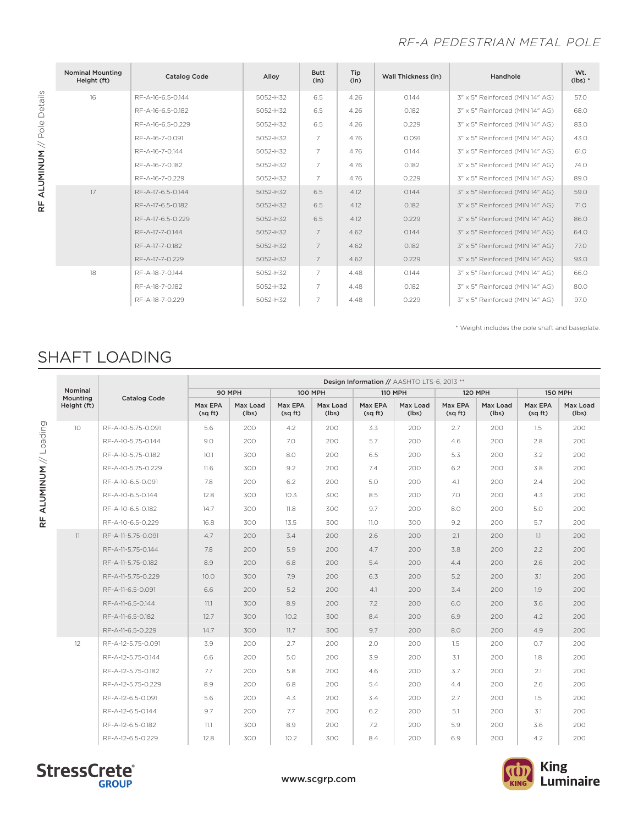### RF-A PEDESTRIAN METAL POLE

| <b>Nominal Mounting</b><br>Height (ft) | <b>Catalog Code</b> | Alloy    | <b>Butt</b><br>(in) | Tip<br>(in) | <b>Wall Thickness (in)</b> | Handhole                        | Wt.<br>$(lbs)*$ |
|----------------------------------------|---------------------|----------|---------------------|-------------|----------------------------|---------------------------------|-----------------|
| 16                                     | RF-A-16-6.5-0.144   | 5052-H32 | 6.5                 | 4.26        | 0.144                      | 3" x 5" Reinforced (MIN 14" AG) | 57.0            |
|                                        | RF-A-16-6.5-0.182   | 5052-H32 | 6.5                 | 4.26        | 0.182                      | 3" x 5" Reinforced (MIN 14" AG) | 68.0            |
|                                        | RF-A-16-6.5-0.229   | 5052-H32 | 6.5                 | 4.26        | 0.229                      | 3" x 5" Reinforced (MIN 14" AG) | 83.0            |
|                                        | RF-A-16-7-0.091     | 5052-H32 | $\overline{7}$      | 4.76        | 0.091                      | 3" x 5" Reinforced (MIN 14" AG) | 43.0            |
|                                        | RF-A-16-7-0.144     | 5052-H32 | $\overline{7}$      | 4.76        | 0.144                      | 3" x 5" Reinforced (MIN 14" AG) | 61.0            |
|                                        | RF-A-16-7-0.182     | 5052-H32 | $\overline{7}$      | 4.76        | 0.182                      | 3" x 5" Reinforced (MIN 14" AG) | 74.0            |
|                                        | RF-A-16-7-0.229     | 5052-H32 | $\overline{7}$      | 4.76        | 0.229                      | 3" x 5" Reinforced (MIN 14" AG) | 89.0            |
| 17                                     | RF-A-17-6.5-0.144   | 5052-H32 | 6.5                 | 4.12        | 0.144                      | 3" x 5" Reinforced (MIN 14" AG) | 59.0            |
|                                        | RF-A-17-6.5-0.182   | 5052-H32 | 6.5                 | 4.12        | 0.182                      | 3" x 5" Reinforced (MIN 14" AG) | 71.0            |
|                                        | RF-A-17-6.5-0.229   | 5052-H32 | 6.5                 | 4.12        | 0.229                      | 3" x 5" Reinforced (MIN 14" AG) | 86.0            |
|                                        | RF-A-17-7-0.144     | 5052-H32 | $\overline{7}$      | 4.62        | 0.144                      | 3" x 5" Reinforced (MIN 14" AG) | 64.0            |
|                                        | RF-A-17-7-0.182     | 5052-H32 | $\overline{7}$      | 4.62        | 0.182                      | 3" x 5" Reinforced (MIN 14" AG) | 77.0            |
|                                        | RF-A-17-7-0.229     | 5052-H32 | $\overline{7}$      | 4.62        | 0.229                      | 3" x 5" Reinforced (MIN 14" AG) | 93.0            |
| 18                                     | RF-A-18-7-0.144     | 5052-H32 | $\overline{7}$      | 4.48        | 0.144                      | 3" x 5" Reinforced (MIN 14" AG) | 66.0            |
|                                        | RF-A-18-7-0.182     | 5052-H32 | $\overline{7}$      | 4.48        | 0.182                      | 3" x 5" Reinforced (MIN 14" AG) | 80.0            |
|                                        | RF-A-18-7-0.229     | 5052-H32 | $\overline{7}$      | 4.48        | 0.229                      | 3" x 5" Reinforced (MIN 14" AG) | 97.0            |

\* Weight includes the pole shaft and baseplate.

# SHAFT LOADING

|                     |                     | Design Information // AASHTO LTS-6, 2013 ** |                   |                    |                   |                   |                   |                    |                   |                   |                   |
|---------------------|---------------------|---------------------------------------------|-------------------|--------------------|-------------------|-------------------|-------------------|--------------------|-------------------|-------------------|-------------------|
| Nominal<br>Mounting | <b>Catalog Code</b> |                                             | 90 MPH            |                    | <b>100 MPH</b>    |                   | <b>110 MPH</b>    | <b>120 MPH</b>     |                   | <b>150 MPH</b>    |                   |
| Height (ft)         |                     | Max EPA<br>(sq ft)                          | Max Load<br>(lbs) | Max EPA<br>(sq ft) | Max Load<br>(lbs) | Max EPA<br>(sqft) | Max Load<br>(lbs) | Max EPA<br>(sq ft) | Max Load<br>(lbs) | Max EPA<br>(sqft) | Max Load<br>(lbs) |
| 10                  | RF-A-10-5.75-0.091  | 5.6                                         | 200               | 4.2                | 200               | 3.3               | 200               | 2.7                | 200               | 1.5               | 200               |
|                     | RF-A-10-5.75-0.144  | 9.0                                         | 200               | 7.0                | 200               | 5.7               | 200               | 4.6                | 200               | 2.8               | 200               |
|                     | RF-A-10-5.75-0.182  | 10.1                                        | 300               | 8.0                | 200               | 6.5               | 200               | 5.3                | 200               | 3.2               | 200               |
|                     | RF-A-10-5.75-0.229  | 11.6                                        | 300               | 9.2                | 200               | 7.4               | 200               | 6.2                | 200               | 3.8               | 200               |
|                     | RF-A-10-6.5-0.091   | 7.8                                         | 200               | 6.2                | 200               | 5.0               | 200               | 4.1                | 200               | 2.4               | 200               |
|                     | RF-A-10-6.5-0.144   | 12.8                                        | 300               | 10.3               | 300               | 8.5               | 200               | 7.0                | 200               | 4.3               | 200               |
|                     | RF-A-10-6.5-0.182   | 14.7                                        | 300               | 11.8               | 300               | 9.7               | 200               | 8.0                | 200               | 5.0               | 200               |
|                     | RF-A-10-6.5-0.229   | 16.8                                        | 300               | 13.5               | 300               | 11.0              | 300               | 9.2                | 200               | 5.7               | 200               |
| 11                  | RF-A-11-5.75-0.091  | 4.7                                         | 200               | 3.4                | 200               | 2.6               | 200               | 2.1                | 200               | 1.1               | 200               |
|                     | RF-A-11-5.75-0.144  | 7.8                                         | 200               | 5.9                | 200               | 4.7               | 200               | 3.8                | 200               | 2.2               | 200               |
|                     | RF-A-11-5.75-0.182  | 8.9                                         | 200               | 6.8                | 200               | 5.4               | 200               | 4.4                | 200               | 2.6               | 200               |
|                     | RF-A-11-5.75-0.229  | 10.0                                        | 300               | 7.9                | 200               | 6.3               | 200               | 5.2                | 200               | 3.1               | 200               |
|                     | RF-A-11-6.5-0.091   | 6.6                                         | 200               | 5.2                | 200               | 4.1               | 200               | 3.4                | 200               | 1.9               | 200               |
|                     | RF-A-11-6.5-0.144   | 11.1                                        | 300               | 8.9                | 200               | 7.2               | 200               | 6.0                | 200               | 3.6               | 200               |
|                     | RF-A-11-6.5-0.182   | 12.7                                        | 300               | 10.2               | 300               | 8.4               | 200               | 6.9                | 200               | 4.2               | 200               |
|                     | RF-A-11-6.5-0.229   | 14.7                                        | 300               | 11.7               | 300               | 9.7               | 200               | 8.0                | 200               | 4.9               | 200               |
| 12                  | RF-A-12-5.75-0.091  | 3.9                                         | 200               | 2.7                | 200               | 2.0               | 200               | 1.5                | 200               | 0.7               | 200               |
|                     | RF-A-12-5.75-0.144  | 6.6                                         | 200               | 5.0                | 200               | 3.9               | 200               | 3.1                | 200               | 1.8               | 200               |
|                     | RF-A-12-5.75-0.182  | 7.7                                         | 200               | 5.8                | 200               | 4.6               | 200               | 3.7                | 200               | 2.1               | 200               |
|                     | RF-A-12-5.75-0.229  | 8.9                                         | 200               | 6.8                | 200               | 5.4               | 200               | 4.4                | 200               | 2.6               | 200               |
|                     | RF-A-12-6.5-0.091   | 5.6                                         | 200               | 4.3                | 200               | 3.4               | 200               | 2.7                | 200               | 1.5               | 200               |
|                     | RF-A-12-6.5-0.144   | 9.7                                         | 200               | 7.7                | 200               | 6.2               | 200               | 5.1                | 200               | 3.1               | 200               |
|                     | RF-A-12-6.5-0.182   | 11.1                                        | 300               | 8.9                | 200               | 7.2               | 200               | 5.9                | 200               | 3.6               | 200               |
|                     | RF-A-12-6.5-0.229   | 12.8                                        | 300               | 10.2               | 300               | 8.4               | 200               | 6.9                | 200               | 4.2               | 200               |





RF ALUMINUM // Pole Details

RF ALUMINUM // Pole Details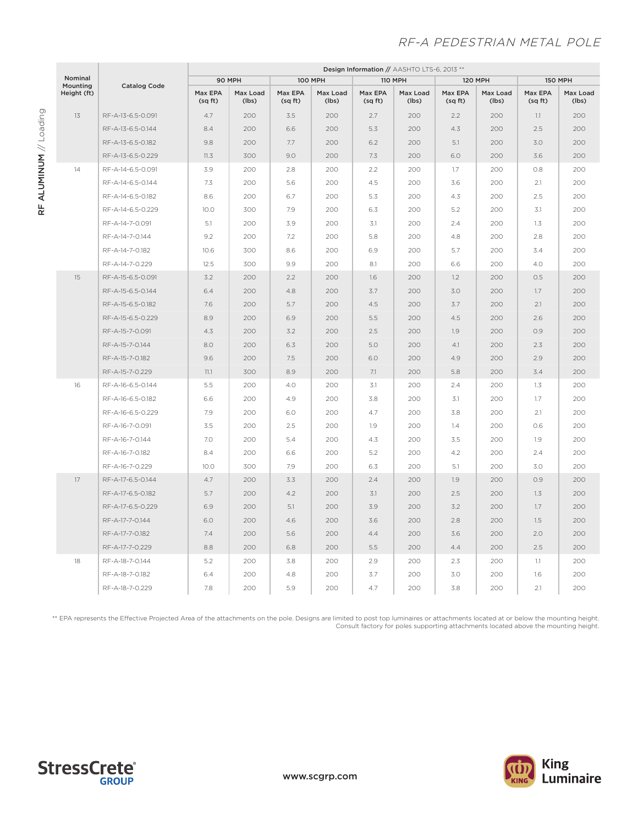### RF-A PEDESTRIAN METAL POLE

|                                    |                     | Design Information // AASHTO LTS-6, 2013 ** |                   |                    |                   |                    |                   |                    |                   |                    |                   |
|------------------------------------|---------------------|---------------------------------------------|-------------------|--------------------|-------------------|--------------------|-------------------|--------------------|-------------------|--------------------|-------------------|
| Nominal<br>Mounting<br>Height (ft) | <b>Catalog Code</b> | 90 MPH                                      |                   | <b>100 MPH</b>     |                   | <b>110 MPH</b>     |                   | <b>120 MPH</b>     |                   | <b>150 MPH</b>     |                   |
|                                    |                     | Max EPA<br>(sq ft)                          | Max Load<br>(lbs) | Max EPA<br>(sq ft) | Max Load<br>(lbs) | Max EPA<br>(sq ft) | Max Load<br>(lbs) | Max EPA<br>(sq ft) | Max Load<br>(lbs) | Max EPA<br>(sq ft) | Max Load<br>(lbs) |
| 13                                 | RF-A-13-6.5-0.091   | 4.7                                         | 200               | 3.5                | 200               | 2.7                | 200               | 2.2                | 200               | 1.1                | 200               |
|                                    | RF-A-13-6.5-0.144   | 8.4                                         | 200               | 6.6                | 200               | 5.3                | 200               | 4.3                | 200               | 2.5                | 200               |
|                                    | RF-A-13-6.5-0.182   | 9.8                                         | 200               | 7.7                | 200               | 6.2                | 200               | 5.1                | 200               | 3.0                | 200               |
|                                    | RF-A-13-6.5-0.229   | 11.3                                        | 300               | 9.0                | 200               | 7.3                | 200               | 6.0                | 200               | 3.6                | 200               |
| 14                                 | RF-A-14-6.5-0.091   | 3.9                                         | 200               | 2.8                | 200               | 2.2                | 200               | 1.7                | 200               | 0.8                | 200               |
|                                    | RF-A-14-6.5-0.144   | 7.3                                         | 200               | 5.6                | 200               | 4.5                | 200               | 3.6                | 200               | 2.1                | 200               |
|                                    | RF-A-14-6.5-0.182   | 8.6                                         | 200               | 6.7                | 200               | 5.3                | 200               | 4.3                | 200               | 2.5                | 200               |
|                                    | RF-A-14-6.5-0.229   | 10.0                                        | 300               | 7.9                | 200               | 6.3                | 200               | 5.2                | 200               | 3.1                | 200               |
|                                    | RF-A-14-7-0.091     | 5.1                                         | 200               | 3.9                | 200               | 3.1                | 200               | 2.4                | 200               | 1.3                | 200               |
|                                    | RF-A-14-7-0.144     | 9.2                                         | 200               | 7.2                | 200               | 5.8                | 200               | 4.8                | 200               | 2.8                | 200               |
|                                    | RF-A-14-7-0.182     | 10.6                                        | 300               | 8.6                | 200               | 6.9                | 200               | 5.7                | 200               | 3.4                | 200               |
|                                    | RF-A-14-7-0.229     | 12.5                                        | 300               | 9.9                | 200               | 8.1                | 200               | 6.6                | 200               | 4.0                | 200               |
| 15                                 | RF-A-15-6.5-0.091   | 3.2                                         | 200               | 2.2                | 200               | 1.6                | 200               | 1.2                | 200               | 0.5                | 200               |
|                                    | RF-A-15-6.5-0.144   | 6.4                                         | 200               | 4.8                | 200               | 3.7                | 200               | 3.0                | 200               | 1.7                | 200               |
|                                    | RF-A-15-6.5-0.182   | 7.6                                         | 200               | 5.7                | 200               | 4.5                | 200               | 3.7                | 200               | 2.1                | 200               |
|                                    | RF-A-15-6.5-0.229   | 8.9                                         | 200               | 6.9                | 200               | 5.5                | 200               | 4.5                | 200               | 2.6                | 200               |
|                                    | RF-A-15-7-0.091     | 4.3                                         | 200               | 3.2                | 200               | 2.5                | 200               | 1.9                | 200               | 0.9                | 200               |
|                                    | RF-A-15-7-0.144     | 8.0                                         | 200               | 6.3                | 200               | 5.0                | 200               | 4.1                | 200               | 2.3                | 200               |
|                                    | RF-A-15-7-0.182     | 9.6                                         | 200               | 7.5                | 200               | 6.0                | 200               | 4.9                | 200               | 2.9                | 200               |
|                                    | RF-A-15-7-0.229     | 11.1                                        | 300               | 8.9                | 200               | 7.1                | 200               | 5.8                | 200               | 3.4                | 200               |
| 16                                 | RF-A-16-6.5-0.144   | 5.5                                         | 200               | 4.0                | 200               | 3.1                | 200               | 2.4                | 200               | 1.3                | 200               |
|                                    | RF-A-16-6.5-0.182   | 6.6                                         | 200               | 4.9                | 200               | 3.8                | 200               | 3.1                | 200               | 1.7                | 200               |
|                                    | RF-A-16-6.5-0.229   | 7.9                                         | 200               | 6.0                | 200               | 4.7                | 200               | 3.8                | 200               | 2.1                | 200               |
|                                    | RF-A-16-7-0.091     | 3.5                                         | 200               | 2.5                | 200               | 1.9                | 200               | 1.4                | 200               | O.6                | 200               |
|                                    | RF-A-16-7-0.144     | 7.0                                         | 200               | 5.4                | 200               | 4.3                | 200               | 3.5                | 200               | 1.9                | 200               |
|                                    | RF-A-16-7-0.182     | 8.4                                         | 200               | 6.6                | 200               | 5.2                | 200               | 4.2                | 200               | 2.4                | 200               |
|                                    | RF-A-16-7-0.229     | 10.0                                        | 300               | 7.9                | 200               | 6.3                | 200               | 5.1                | 200               | 3.0                | 200               |
| 17                                 | RF-A-17-6.5-0.144   | 4.7                                         | 200               | 3.3                | 200               | 2.4                | 200               | 1.9                | 200               | O.9                | 200               |
|                                    | RF-A-17-6.5-0.182   | 5.7                                         | 200               | 4.2                | 200               | 3.1                | 200               | 2.5                | 200               | 1.3                | 200               |
|                                    | RF-A-17-6.5-0.229   | 6.9                                         | 200               | 5.1                | 200               | 3.9                | 200               | 3.2                | 200               | 1.7                | 200               |
|                                    | RF-A-17-7-0.144     | 6.0                                         | 200               | 4.6                | 200               | 3.6                | 200               | 2.8                | 200               | 1.5                | 200               |
|                                    | RF-A-17-7-0.182     | 7.4                                         | 200               | 5.6                | 200               | 4.4                | 200               | 3.6                | 200               | 2.0                | 200               |
|                                    | RF-A-17-7-0.229     | 8.8                                         | 200               | 6.8                | 200               | 5.5                | 200               | 4.4                | 200               | 2.5                | 200               |
| 18                                 | RF-A-18-7-0.144     | 5.2                                         | 200               | 3.8                | 200               | 2.9                | 200               | 2.3                | 200               | 1.1                | 200               |
|                                    | RF-A-18-7-0.182     | 6.4                                         | 200               | 4.8                | 200               | 3.7                | 200               | 3.0                | 200               | 1.6                | 200               |
|                                    | RF-A-18-7-0.229     | 7.8                                         | 200               | 5.9                | 200               | 4.7                | 200               | 3.8                | 200               | 2.1                | 200               |

\*\* EPA represents the Effective Projected Area of the attachments on the pole. Designs are limited to post top luminaires or attachments located at or below the mounting height. Consult factory for poles supporting attachments located above the mounting height.